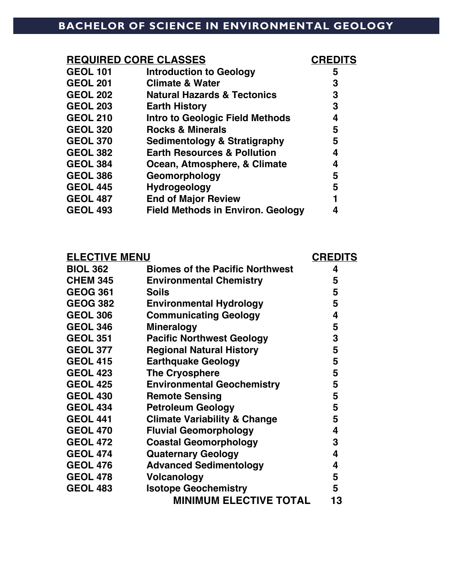## **BACHELOR OF SCIENCE IN ENVIRONMENTAL GEOLOGY**

| <b>REQUIRED CORE CLASSES</b> |                                          | <b>CREDITS</b> |
|------------------------------|------------------------------------------|----------------|
| <b>GEOL 101</b>              | <b>Introduction to Geology</b>           | 5              |
| <b>GEOL 201</b>              | <b>Climate &amp; Water</b>               | 3              |
| <b>GEOL 202</b>              | <b>Natural Hazards &amp; Tectonics</b>   | 3              |
| <b>GEOL 203</b>              | <b>Earth History</b>                     | 3              |
| <b>GEOL 210</b>              | <b>Intro to Geologic Field Methods</b>   | 4              |
| <b>GEOL 320</b>              | <b>Rocks &amp; Minerals</b>              | 5              |
| <b>GEOL 370</b>              | <b>Sedimentology &amp; Stratigraphy</b>  | 5              |
| <b>GEOL 382</b>              | <b>Earth Resources &amp; Pollution</b>   | 4              |
| <b>GEOL 384</b>              | Ocean, Atmosphere, & Climate             | 4              |
| <b>GEOL 386</b>              | Geomorphology                            | 5              |
| <b>GEOL 445</b>              | <b>Hydrogeology</b>                      | 5              |
| <b>GEOL 487</b>              | <b>End of Major Review</b>               |                |
| <b>GEOL 493</b>              | <b>Field Methods in Environ. Geology</b> |                |
|                              |                                          |                |

| <b>ELECTIVE MENU</b> |                                         | <b>CREDITS</b> |
|----------------------|-----------------------------------------|----------------|
| <b>BIOL 362</b>      | <b>Biomes of the Pacific Northwest</b>  | 4              |
| <b>CHEM 345</b>      | <b>Environmental Chemistry</b>          | 5              |
| <b>GEOG 361</b>      | <b>Soils</b>                            | 5              |
| <b>GEOG 382</b>      | <b>Environmental Hydrology</b>          | 5              |
| <b>GEOL 306</b>      | <b>Communicating Geology</b>            | 4              |
| <b>GEOL 346</b>      | <b>Mineralogy</b>                       | 5              |
| <b>GEOL 351</b>      | <b>Pacific Northwest Geology</b>        | 3              |
| <b>GEOL 377</b>      | <b>Regional Natural History</b>         | 5              |
| <b>GEOL 415</b>      | <b>Earthquake Geology</b>               | 5              |
| <b>GEOL 423</b>      | <b>The Cryosphere</b>                   | 5              |
| <b>GEOL 425</b>      | <b>Environmental Geochemistry</b>       | 5              |
| <b>GEOL 430</b>      | <b>Remote Sensing</b>                   | 5              |
| <b>GEOL 434</b>      | <b>Petroleum Geology</b>                | 5              |
| <b>GEOL 441</b>      | <b>Climate Variability &amp; Change</b> | 5              |
| <b>GEOL 470</b>      | <b>Fluvial Geomorphology</b>            | 4              |
| <b>GEOL 472</b>      | <b>Coastal Geomorphology</b>            | 3              |
| <b>GEOL 474</b>      | <b>Quaternary Geology</b>               | 4              |
| <b>GEOL 476</b>      | <b>Advanced Sedimentology</b>           | 4              |
| <b>GEOL 478</b>      | <b>Volcanology</b>                      | 5              |
| <b>GEOL 483</b>      | <b>Isotope Geochemistry</b>             | 5              |
|                      | <b>MINIMUM ELECTIVE TOTAL</b>           | 13             |